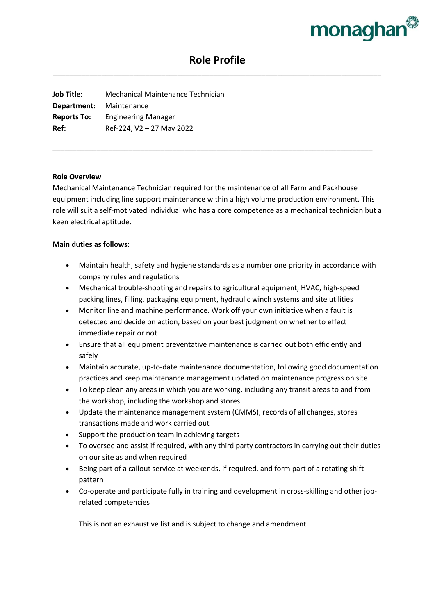

# **Role Profile**

**Job Title:** Mechanical Maintenance Technician **Department:** Maintenance **Reports To:** Engineering Manager **Ref:** Ref-224, V2 – 27 May 2022

#### **Role Overview**

Mechanical Maintenance Technician required for the maintenance of all Farm and Packhouse equipment including line support maintenance within a high volume production environment. This role will suit a self-motivated individual who has a core competence as a mechanical technician but a keen electrical aptitude.

## **Main duties as follows:**

- Maintain health, safety and hygiene standards as a number one priority in accordance with company rules and regulations
- Mechanical trouble-shooting and repairs to agricultural equipment, HVAC, high-speed packing lines, filling, packaging equipment, hydraulic winch systems and site utilities
- Monitor line and machine performance. Work off your own initiative when a fault is detected and decide on action, based on your best judgment on whether to effect immediate repair or not
- Ensure that all equipment preventative maintenance is carried out both efficiently and safely
- Maintain accurate, up-to-date maintenance documentation, following good documentation practices and keep maintenance management updated on maintenance progress on site
- To keep clean any areas in which you are working, including any transit areas to and from the workshop, including the workshop and stores
- Update the maintenance management system (CMMS), records of all changes, stores transactions made and work carried out
- Support the production team in achieving targets
- To oversee and assist if required, with any third party contractors in carrying out their duties on our site as and when required
- Being part of a callout service at weekends, if required, and form part of a rotating shift pattern
- Co-operate and participate fully in training and development in cross-skilling and other jobrelated competencies

This is not an exhaustive list and is subject to change and amendment.